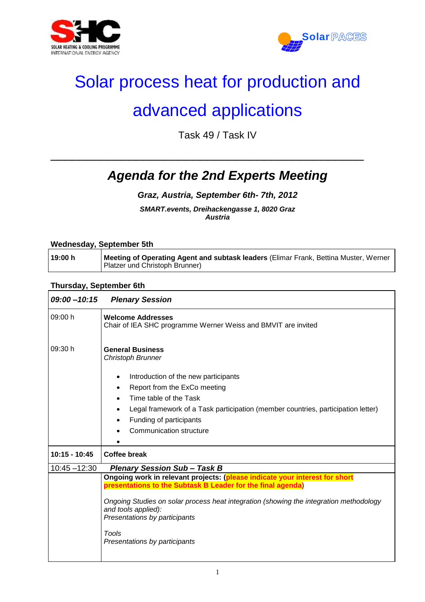



# Solar process heat for production and

## advanced applications

Task 49 / Task IV

\_\_\_\_\_\_\_\_\_\_\_\_\_\_\_\_\_\_\_\_\_\_\_\_\_\_\_\_\_\_\_\_\_\_\_\_\_\_\_\_\_\_\_\_

### *Agenda for the 2nd Experts Meeting*

#### *Graz, Austria, September 6th- 7th, 2012*

*SMART.events, Dreihackengasse 1, 8020 Graz Austria*

#### **Wednesday, September 5th**

| 19:00 h | I Meeting of Operating Agent and subtask leaders (Elimar Frank, Bettina Muster, Werner |
|---------|----------------------------------------------------------------------------------------|
|         | Platzer und Christoph Brunner)                                                         |

#### **Thursday, September 6th**

| $09:00 - 10:15$ | <b>Plenary Session</b>                                                                                                                     |
|-----------------|--------------------------------------------------------------------------------------------------------------------------------------------|
| 09:00 h         | <b>Welcome Addresses</b><br>Chair of IEA SHC programme Werner Weiss and BMVIT are invited                                                  |
| 09:30 h         | <b>General Business</b><br><b>Christoph Brunner</b>                                                                                        |
|                 | Introduction of the new participants                                                                                                       |
|                 | Report from the ExCo meeting<br>$\bullet$                                                                                                  |
|                 | Time table of the Task                                                                                                                     |
|                 | Legal framework of a Task participation (member countries, participation letter)                                                           |
|                 | Funding of participants                                                                                                                    |
|                 | Communication structure                                                                                                                    |
|                 |                                                                                                                                            |
| 10:15 - 10:45   | <b>Coffee break</b>                                                                                                                        |
| $10:45 - 12:30$ | <b>Plenary Session Sub-Task B</b>                                                                                                          |
|                 | Ongoing work in relevant projects: (please indicate your interest for short<br>presentations to the Subtask B Leader for the final agenda) |
|                 |                                                                                                                                            |
|                 | Ongoing Studies on solar process heat integration (showing the integration methodology                                                     |
|                 | and tools applied):<br>Presentations by participants                                                                                       |
|                 |                                                                                                                                            |
|                 | Tools                                                                                                                                      |
|                 | Presentations by participants                                                                                                              |
|                 |                                                                                                                                            |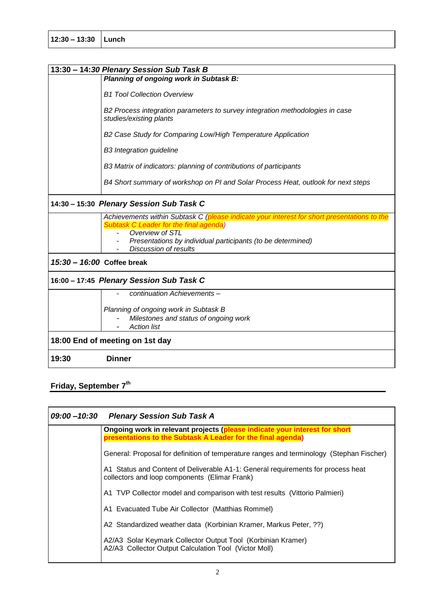|                                          | 13:30 - 14:30 Plenary Session Sub Task B                                                                                                                                                                                                                |  |
|------------------------------------------|---------------------------------------------------------------------------------------------------------------------------------------------------------------------------------------------------------------------------------------------------------|--|
|                                          | Planning of ongoing work in Subtask B:                                                                                                                                                                                                                  |  |
|                                          | <b>B1 Tool Collection Overview</b>                                                                                                                                                                                                                      |  |
|                                          | B2 Process integration parameters to survey integration methodologies in case<br>studies/existing plants                                                                                                                                                |  |
|                                          | B2 Case Study for Comparing Low/High Temperature Application                                                                                                                                                                                            |  |
|                                          | <b>B3</b> Integration guideline                                                                                                                                                                                                                         |  |
|                                          | B3 Matrix of indicators: planning of contributions of participants                                                                                                                                                                                      |  |
|                                          | B4 Short summary of workshop on PI and Solar Process Heat, outlook for next steps                                                                                                                                                                       |  |
| 14:30 - 15:30 Plenary Session Sub Task C |                                                                                                                                                                                                                                                         |  |
|                                          | Achievements within Subtask C (please indicate your interest for short presentations to the<br><b>Subtask C Leader for the final agenda)</b><br>Overview of STL<br>Presentations by individual participants (to be determined)<br>Discussion of results |  |
| 15:30 - 16:00 Coffee break               |                                                                                                                                                                                                                                                         |  |
| 16:00 - 17:45 Plenary Session Sub Task C |                                                                                                                                                                                                                                                         |  |
|                                          | continuation Achievements-                                                                                                                                                                                                                              |  |
|                                          | Planning of ongoing work in Subtask B                                                                                                                                                                                                                   |  |
|                                          | Milestones and status of ongoing work<br><b>Action list</b>                                                                                                                                                                                             |  |
| 18:00 End of meeting on 1st day          |                                                                                                                                                                                                                                                         |  |
| 19:30                                    | <b>Dinner</b>                                                                                                                                                                                                                                           |  |

### **Friday, September 7th**

| 09:00-10:30 Plenary Session Sub Task A                                                                                                    |
|-------------------------------------------------------------------------------------------------------------------------------------------|
| Ongoing work in relevant projects (please indicate your interest for short<br>presentations to the Subtask A Leader for the final agenda) |
| General: Proposal for definition of temperature ranges and terminology (Stephan Fischer)                                                  |
| A1 Status and Content of Deliverable A1-1: General requirements for process heat<br>collectors and loop components (Elimar Frank)         |
| A1 TVP Collector model and comparison with test results (Vittorio Palmieri)                                                               |
| A1 Evacuated Tube Air Collector (Matthias Rommel)                                                                                         |
| A2 Standardized weather data (Korbinian Kramer, Markus Peter, ??)                                                                         |
| A2/A3 Solar Keymark Collector Output Tool (Korbinian Kramer)<br>A2/A3 Collector Output Calculation Tool (Victor Moll)                     |